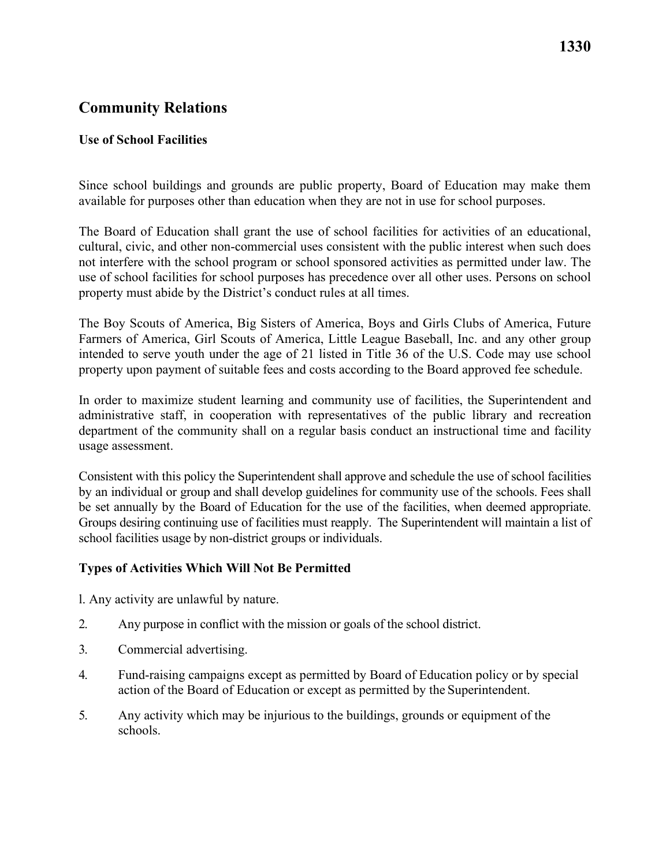# **Community Relations**

### **Use of School Facilities**

Since school buildings and grounds are public property, Board of Education may make them available for purposes other than education when they are not in use for school purposes.

The Board of Education shall grant the use of school facilities for activities of an educational, cultural, civic, and other non-commercial uses consistent with the public interest when such does not interfere with the school program or school sponsored activities as permitted under law. The use of school facilities for school purposes has precedence over all other uses. Persons on school property must abide by the District's conduct rules at all times.

 The Boy Scouts of America, Big Sisters of America, Boys and Girls Clubs of America, Future Farmers of America, Girl Scouts of America, Little League Baseball, Inc. and any other group intended to serve youth under the age of 21 listed in Title 36 of the U.S. Code may use school property upon payment of suitable fees and costs according to the Board approved fee schedule.

In order to maximize student learning and community use of facilities, the Superintendent and administrative staff, in cooperation with representatives of the public library and recreation department of the community shall on a regular basis conduct an instructional time and facility usage assessment.

 by an individual or group and shall develop guidelines for community use of the schools. Fees shall Groups desiring continuing use of facilities must reapply. The Superintendent will maintain a list of school facilities usage by non-district groups or individuals. Consistent with this policy the Superintendent shall approve and schedule the use of school facilities be set annually by the Board of Education for the use of the facilities, when deemed appropriate.

### **Types of Activities Which Will Not Be Permitted**

l. Any activity are unlawful by nature.

- 2. Any purpose in conflict with the mission or goals of the school district.
- 3. Commercial advertising.
- 4. Fund-raising campaigns except as permitted by Board of Education policy or by special action of the Board of Education or except as permitted by the Superintendent.
- 5. Any activity which may be injurious to the buildings, grounds or equipment of the schools.